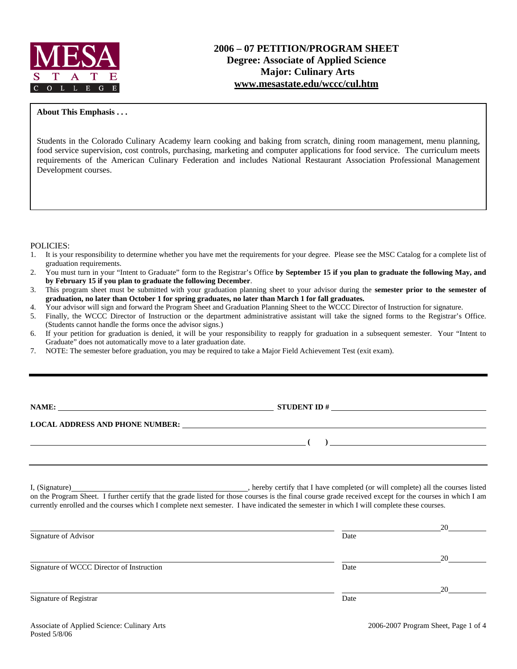

### **2006 – 07 PETITION/PROGRAM SHEET Degree: Associate of Applied Science Major: Culinary Arts www.mesastate.edu/wccc/cul.htm**

#### **About This Emphasis . . .**

Students in the Colorado Culinary Academy learn cooking and baking from scratch, dining room management, menu planning, food service supervision, cost controls, purchasing, marketing and computer applications for food service. The curriculum meets requirements of the American Culinary Federation and includes National Restaurant Association Professional Management Development courses.

#### POLICIES:

- 1. It is your responsibility to determine whether you have met the requirements for your degree. Please see the MSC Catalog for a complete list of graduation requirements.
- 2. You must turn in your "Intent to Graduate" form to the Registrar's Office **by September 15 if you plan to graduate the following May, and by February 15 if you plan to graduate the following December**.
- 3. This program sheet must be submitted with your graduation planning sheet to your advisor during the **semester prior to the semester of graduation, no later than October 1 for spring graduates, no later than March 1 for fall graduates.**
- 4. Your advisor will sign and forward the Program Sheet and Graduation Planning Sheet to the WCCC Director of Instruction for signature.
- 5. Finally, the WCCC Director of Instruction or the department administrative assistant will take the signed forms to the Registrar's Office. (Students cannot handle the forms once the advisor signs.)
- 6. If your petition for graduation is denied, it will be your responsibility to reapply for graduation in a subsequent semester. Your "Intent to Graduate" does not automatically move to a later graduation date.
- 7. NOTE: The semester before graduation, you may be required to take a Major Field Achievement Test (exit exam).

| NAME:                                  | <b>STUDENT ID#</b> |  |
|----------------------------------------|--------------------|--|
| <b>LOCAL ADDRESS AND PHONE NUMBER:</b> |                    |  |
|                                        |                    |  |
|                                        |                    |  |

I, (Signature) **Solution** , hereby certify that I have completed (or will complete) all the courses listed on the Program Sheet. I further certify that the grade listed for those courses is the final course grade received except for the courses in which I am currently enrolled and the courses which I complete next semester. I have indicated the semester in which I will complete these courses.

|                                           |      | 20 |
|-------------------------------------------|------|----|
| Signature of Advisor                      | Date |    |
|                                           |      | 20 |
| Signature of WCCC Director of Instruction | Date |    |
|                                           |      | 20 |
| Signature of Registrar                    | Date |    |
|                                           |      |    |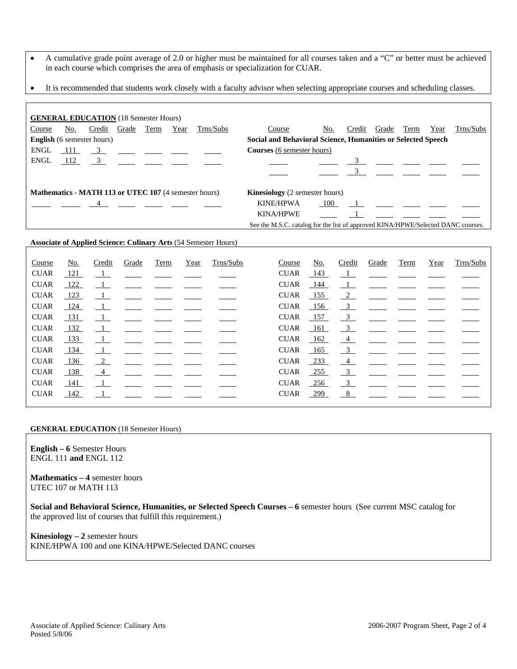- A cumulative grade point average of 2.0 or higher must be maintained for all courses taken and a "C" or better must be achieved in each course which comprises the area of emphasis or specialization for CUAR.
- It is recommended that students work closely with a faculty advisor when selecting appropriate courses and scheduling classes.

| <b>GENERAL EDUCATION</b> (18 Semester Hours)                                                          |     |                |                |      |      |           |                                                                                  |     |        |       |      |      |           |
|-------------------------------------------------------------------------------------------------------|-----|----------------|----------------|------|------|-----------|----------------------------------------------------------------------------------|-----|--------|-------|------|------|-----------|
| Course                                                                                                | No. | Credit         | Grade          | Term | Year | Trns/Subs | Course                                                                           | No. | Credit | Grade | Term | Year | Trns/Subs |
| <b>English</b> (6 semester hours)                                                                     |     |                |                |      |      |           | Social and Behavioral Science, Humanities or Selected Speech                     |     |        |       |      |      |           |
| <b>ENGL</b>                                                                                           | 111 | $\overline{3}$ |                |      |      |           | <b>Courses</b> (6 semester hours)                                                |     |        |       |      |      |           |
| <b>ENGL</b>                                                                                           | 112 | $\overline{3}$ |                |      |      |           |                                                                                  |     |        |       |      |      |           |
|                                                                                                       |     |                |                |      |      |           |                                                                                  |     |        |       |      |      |           |
| <b>Mathematics - MATH 113 or UTEC 107</b> (4 semester hours)<br><b>Kinesiology</b> (2 semester hours) |     |                |                |      |      |           |                                                                                  |     |        |       |      |      |           |
|                                                                                                       |     |                | $\overline{4}$ |      |      |           | <b>KINE/HPWA</b>                                                                 | 100 |        |       |      |      |           |
|                                                                                                       |     |                |                |      |      |           | <b>KINA/HPWE</b>                                                                 |     |        |       |      |      |           |
|                                                                                                       |     |                |                |      |      |           | See the M.S.C. catalog for the list of approved KINA/HPWE/Selected DANC courses. |     |        |       |      |      |           |

#### **Associate of Applied Science: Culinary Arts** (54 Semester Hours)

| Course      | No. | Credit                   | Grade | Term | Year | Trns/Subs | Course      | No.    | Credit                    | Grade | Term | Year | Trns/Subs |
|-------------|-----|--------------------------|-------|------|------|-----------|-------------|--------|---------------------------|-------|------|------|-----------|
| <b>CUAR</b> | 121 | $\overline{\phantom{0}}$ |       |      |      |           | <b>CUAR</b> | 143    | $\overline{\phantom{0}1}$ |       |      |      |           |
| <b>CUAR</b> | 122 | $\perp$                  |       |      |      |           | <b>CUAR</b> | 144    | $\perp$                   |       |      |      |           |
| <b>CUAR</b> | 123 | $\perp$                  |       |      |      |           | <b>CUAR</b> | 155    | $\sqrt{2}$                |       |      |      |           |
| <b>CUAR</b> | 124 | $\overline{\phantom{0}}$ |       |      |      |           | <b>CUAR</b> | 156    | $\overline{\phantom{0}3}$ |       |      |      |           |
| <b>CUAR</b> | 131 | $\mathbf{I}$             |       |      |      |           | <b>CUAR</b> | 157    | $\frac{3}{2}$             |       |      |      |           |
| <b>CUAR</b> | 132 | $\perp$                  |       |      |      |           | <b>CUAR</b> | 161    | $\frac{3}{2}$             |       |      |      |           |
| <b>CUAR</b> | 133 | $\perp$                  |       |      |      |           | <b>CUAR</b> | 162    | $\frac{4}{ }$             |       |      |      |           |
| <b>CUAR</b> | 134 | $\mathbf{1}$             |       |      |      |           | <b>CUAR</b> | 165    | $\frac{3}{2}$             |       |      |      |           |
| <b>CUAR</b> | 136 | $\frac{2}{2}$            |       |      |      |           | <b>CUAR</b> | 233    | $\frac{4}{ }$             |       |      |      |           |
| <b>CUAR</b> | 138 | $-4$                     |       |      |      |           | <b>CUAR</b> | $-255$ | $\mathbf{3}$              |       |      |      |           |
| <b>CUAR</b> | 141 | $\overline{1}$           |       |      |      |           | <b>CUAR</b> | $-256$ | $\overline{3}$            |       |      |      |           |
| <b>CUAR</b> | 142 | $\mathbf{1}$             |       |      |      |           | <b>CUAR</b> | 299    | 8                         |       |      |      |           |
|             |     |                          |       |      |      |           |             |        |                           |       |      |      |           |

#### **GENERAL EDUCATION** (18 Semester Hours)

**English – 6** Semester Hours ENGL 111 **and** ENGL 112

**Mathematics – 4** semester hours UTEC 107 or MATH 113

**Social and Behavioral Science, Humanities, or Selected Speech Courses – 6** semester hours (See current MSC catalog for the approved list of courses that fulfill this requirement.)

**Kinesiology – 2** semester hours KINE/HPWA 100 and one KINA/HPWE/Selected DANC courses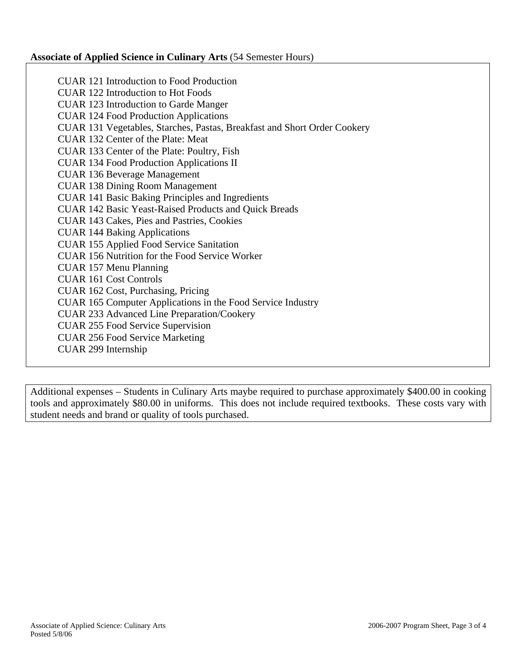### **Associate of Applied Science in Culinary Arts** (54 Semester Hours)

CUAR 121 Introduction to Food Production CUAR 122 Introduction to Hot Foods CUAR 123 Introduction to Garde Manger CUAR 124 Food Production Applications CUAR 131 Vegetables, Starches, Pastas, Breakfast and Short Order Cookery CUAR 132 Center of the Plate: Meat CUAR 133 Center of the Plate: Poultry, Fish CUAR 134 Food Production Applications II CUAR 136 Beverage Management CUAR 138 Dining Room Management CUAR 141 Basic Baking Principles and Ingredients CUAR 142 Basic Yeast-Raised Products and Quick Breads CUAR 143 Cakes, Pies and Pastries, Cookies CUAR 144 Baking Applications CUAR 155 Applied Food Service Sanitation CUAR 156 Nutrition for the Food Service Worker CUAR 157 Menu Planning CUAR 161 Cost Controls CUAR 162 Cost, Purchasing, Pricing CUAR 165 Computer Applications in the Food Service Industry CUAR 233 Advanced Line Preparation/Cookery CUAR 255 Food Service Supervision CUAR 256 Food Service Marketing CUAR 299 Internship

Additional expenses – Students in Culinary Arts maybe required to purchase approximately \$400.00 in cooking tools and approximately \$80.00 in uniforms. This does not include required textbooks. These costs vary with student needs and brand or quality of tools purchased.